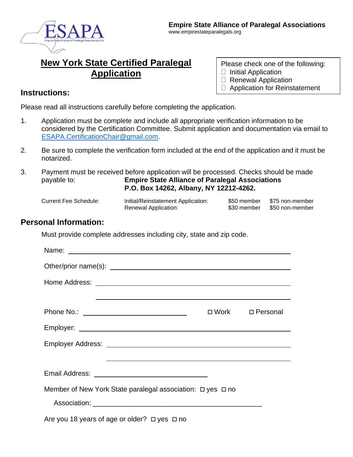

# **New York State Certified Paralegal Application**

- Please check one of the following:
- $\Box$  Initial Application
- □ Renewal Application
- □ Application for Reinstatement

#### **Instructions:**

Please read all instructions carefully before completing the application.

- 1. Application must be complete and include all appropriate verification information to be considered by the Certification Committee. Submit application and documentation via email to [ESAPA.CertificationChair@gmail.com.](mailto:ESAPA.CertificationChair@gmail.com)
- 2. Be sure to complete the verification form included at the end of the application and it must be notarized.
- 3. Payment must be received before application will be processed. Checks should be made payable to: **Empire State Alliance of Paralegal Associations P.O. Box 14262, Albany, NY 12212-4262.**
	-
	- Current Fee Schedule: Initial/Reinstatement Application: \$50 member \$75 non-member Renewal Application: \$30 member \$50 non-member
- -

#### **Personal Information:**

Must provide complete addresses including city, state and zip code.

|                                                                      | ,我们也不会有什么。""我们的人,我们也不会有什么?""我们的人,我们也不会有什么?""我们的人,我们也不会有什么?""我们的人,我们也不会有什么?""我们的人 |                   |
|----------------------------------------------------------------------|----------------------------------------------------------------------------------|-------------------|
|                                                                      |                                                                                  | □ Work □ Personal |
|                                                                      |                                                                                  |                   |
|                                                                      |                                                                                  |                   |
|                                                                      | <u> 1989 - Andrea Andrew Maria (h. 1989).</u>                                    |                   |
|                                                                      |                                                                                  |                   |
| Member of New York State paralegal association: $\Box$ yes $\Box$ no |                                                                                  |                   |
|                                                                      |                                                                                  |                   |
| Are you 18 years of age or older? $\Box$ yes $\Box$ no               |                                                                                  |                   |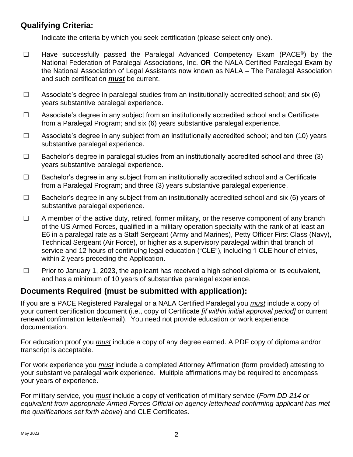## **Qualifying Criteria:**

Indicate the criteria by which you seek certification (please select only one).

- ☐ Have successfully passed the Paralegal Advanced Competency Exam (PACE®) by the National Federation of Paralegal Associations, Inc. **OR** the NALA Certified Paralegal Exam by the National Association of Legal Assistants now known as NALA – The Paralegal Association and such certification *must* be current.
- $\Box$  Associate's degree in paralegal studies from an institutionally accredited school; and six (6) years substantive paralegal experience.
- ☐ Associate's degree in any subject from an institutionally accredited school and a Certificate from a Paralegal Program; and six (6) years substantive paralegal experience.
- ☐ Associate's degree in any subject from an institutionally accredited school; and ten (10) years substantive paralegal experience.
- $\Box$  Bachelor's degree in paralegal studies from an institutionally accredited school and three (3) years substantive paralegal experience.
- ☐ Bachelor's degree in any subject from an institutionally accredited school and a Certificate from a Paralegal Program; and three (3) years substantive paralegal experience.
- ☐ Bachelor's degree in any subject from an institutionally accredited school and six (6) years of substantive paralegal experience.
- $\Box$  A member of the active duty, retired, former military, or the reserve component of any branch of the US Armed Forces, qualified in a military operation specialty with the rank of at least an E6 in a paralegal rate as a Staff Sergeant (Army and Marines), Petty Officer First Class (Navy), Technical Sergeant (Air Force), or higher as a supervisory paralegal within that branch of service and 12 hours of continuing legal education ("CLE"), including 1 CLE hour of ethics, within 2 years preceding the Application.
- ☐ Prior to January 1, 2023, the applicant has received a high school diploma or its equivalent, and has a minimum of 10 years of substantive paralegal experience.

## **Documents Required (must be submitted with application):**

If you are a PACE Registered Paralegal or a NALA Certified Paralegal you *must* include a copy of your current certification document (i.e., copy of Certificate *[if within initial approval period]* or current renewal confirmation letter/e-mail). You need not provide education or work experience documentation.

For education proof you *must* include a copy of any degree earned. A PDF copy of diploma and/or transcript is acceptable.

For work experience you *must* include a completed Attorney Affirmation (form provided) attesting to your substantive paralegal work experience. Multiple affirmations may be required to encompass your years of experience.

For military service, you *must* include a copy of verification of military service (*Form DD-214 or equivalent from appropriate Armed Forces Official on agency letterhead confirming applicant has met the qualifications set forth above*) and CLE Certificates.